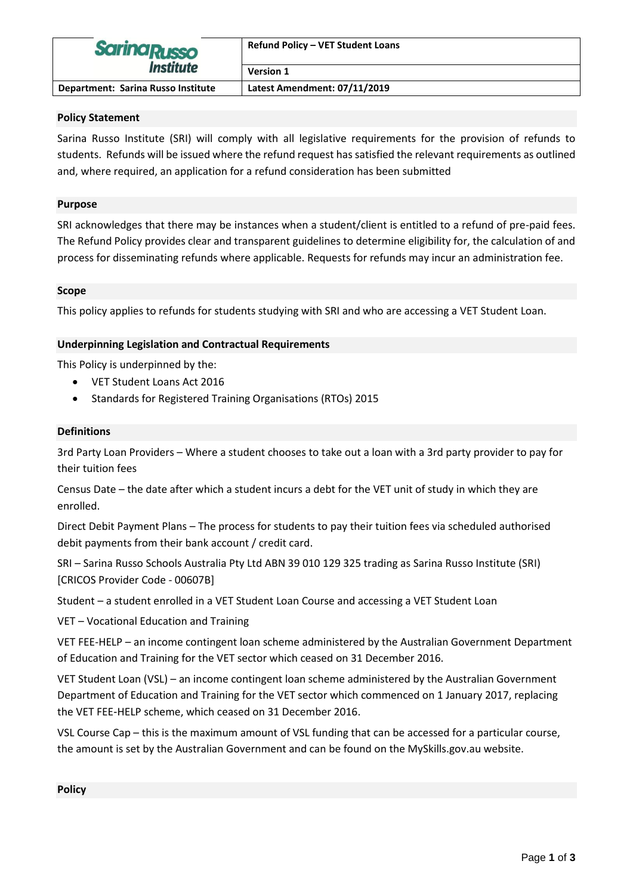| <b>Sarina Russo</b><br><i><b>Institute</b></i> | <b>Refund Policy - VET Student Loans</b> |
|------------------------------------------------|------------------------------------------|
|                                                | <b>Version 1</b>                         |
| Department: Sarina Russo Institute             | Latest Amendment: 07/11/2019             |

#### **Policy Statement**

Sarina Russo Institute (SRI) will comply with all legislative requirements for the provision of refunds to students. Refunds will be issued where the refund request has satisfied the relevant requirements as outlined and, where required, an application for a refund consideration has been submitted

### **Purpose**

SRI acknowledges that there may be instances when a student/client is entitled to a refund of pre-paid fees. The Refund Policy provides clear and transparent guidelines to determine eligibility for, the calculation of and process for disseminating refunds where applicable. Requests for refunds may incur an administration fee.

### **Scope**

This policy applies to refunds for students studying with SRI and who are accessing a VET Student Loan.

### **Underpinning Legislation and Contractual Requirements**

This Policy is underpinned by the:

- VET Student Loans Act 2016
- Standards for Registered Training Organisations (RTOs) 2015

#### **Definitions**

3rd Party Loan Providers – Where a student chooses to take out a loan with a 3rd party provider to pay for their tuition fees

Census Date – the date after which a student incurs a debt for the VET unit of study in which they are enrolled.

Direct Debit Payment Plans – The process for students to pay their tuition fees via scheduled authorised debit payments from their bank account / credit card.

SRI – Sarina Russo Schools Australia Pty Ltd ABN 39 010 129 325 trading as Sarina Russo Institute (SRI) [CRICOS Provider Code - 00607B]

Student – a student enrolled in a VET Student Loan Course and accessing a VET Student Loan

VET – Vocational Education and Training

VET FEE-HELP – an income contingent loan scheme administered by the Australian Government Department of Education and Training for the VET sector which ceased on 31 December 2016.

VET Student Loan (VSL) – an income contingent loan scheme administered by the Australian Government Department of Education and Training for the VET sector which commenced on 1 January 2017, replacing the VET FEE‑HELP scheme, which ceased on 31 December 2016.

VSL Course Cap – this is the maximum amount of VSL funding that can be accessed for a particular course, the amount is set by the Australian Government and can be found on the MySkills.gov.au website.

# **Policy**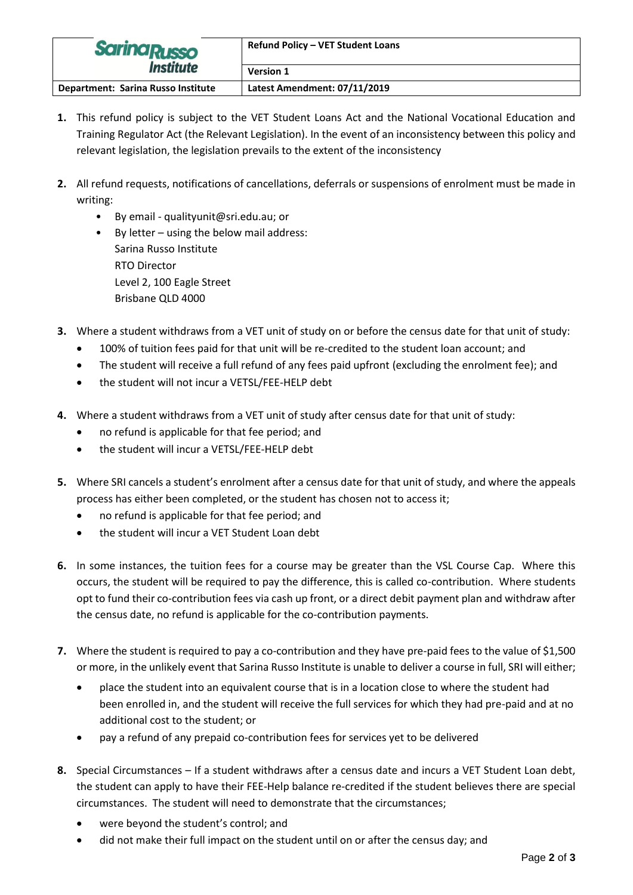| <b>Sarina Russo</b><br><b>Institute</b> | <b>Refund Policy - VET Student Loans</b> |
|-----------------------------------------|------------------------------------------|
|                                         | <b>Version 1</b>                         |
| Department: Sarina Russo Institute      | Latest Amendment: 07/11/2019             |

- **1.** This refund policy is subject to the VET Student Loans Act and the National Vocational Education and Training Regulator Act (the Relevant Legislation). In the event of an inconsistency between this policy and relevant legislation, the legislation prevails to the extent of the inconsistency
- **2.** All refund requests, notifications of cancellations, deferrals or suspensions of enrolment must be made in writing:
	- By email qualityunit@sri.edu.au; or
	- By letter using the below mail address: Sarina Russo Institute RTO Director Level 2, 100 Eagle Street Brisbane QLD 4000
- **3.** Where a student withdraws from a VET unit of study on or before the census date for that unit of study:
	- 100% of tuition fees paid for that unit will be re-credited to the student loan account; and
	- The student will receive a full refund of any fees paid upfront (excluding the enrolment fee); and
	- the student will not incur a VETSL/FEE-HELP debt
- **4.** Where a student withdraws from a VET unit of study after census date for that unit of study:
	- no refund is applicable for that fee period; and
	- the student will incur a VETSL/FEE-HELP debt
- **5.** Where SRI cancels a student's enrolment after a census date for that unit of study, and where the appeals process has either been completed, or the student has chosen not to access it;
	- no refund is applicable for that fee period; and
	- the student will incur a VET Student Loan debt
- **6.** In some instances, the tuition fees for a course may be greater than the VSL Course Cap. Where this occurs, the student will be required to pay the difference, this is called co-contribution. Where students opt to fund their co-contribution fees via cash up front, or a direct debit payment plan and withdraw after the census date, no refund is applicable for the co-contribution payments.
- **7.** Where the student is required to pay a co-contribution and they have pre-paid fees to the value of \$1,500 or more, in the unlikely event that Sarina Russo Institute is unable to deliver a course in full, SRI will either;
	- place the student into an equivalent course that is in a location close to where the student had been enrolled in, and the student will receive the full services for which they had pre-paid and at no additional cost to the student; or
	- pay a refund of any prepaid co-contribution fees for services yet to be delivered
- **8.** Special Circumstances If a student withdraws after a census date and incurs a VET Student Loan debt, the student can apply to have their FEE-Help balance re-credited if the student believes there are special circumstances. The student will need to demonstrate that the circumstances;
	- were beyond the student's control; and
	- did not make their full impact on the student until on or after the census day; and